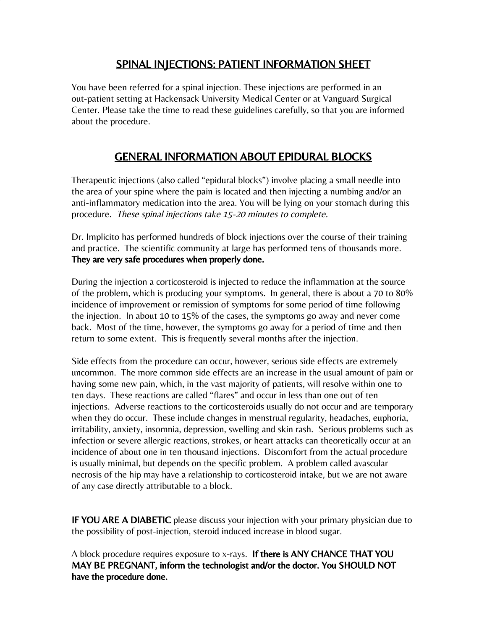## SPINAL INJECTIONS: PATIENT INFORMATION SHEET

You have been referred for a spinal injection. These injections are performed in an out-patient setting at Hackensack University Medical Center or at Vanguard Surgical Center. Please take the time to read these guidelines carefully, so that you are informed about the procedure.

# GENERAL INFORMATION ABOUT EPIDURAL BLOCKS

Therapeutic injections (also called "epidural blocks") involve placing a small needle into the area of your spine where the pain is located and then injecting a numbing and/or an anti-inflammatory medication into the area. You will be lying on your stomach during this procedure. These spinal injections take 15-20 minutes to complete.

Dr. Implicito has performed hundreds of block injections over the course of their training and practice. The scientific community at large has performed tens of thousands more. They are very safe procedures when properly done.

During the injection a corticosteroid is injected to reduce the inflammation at the source of the problem, which is producing your symptoms. In general, there is about a 70 to 80% incidence of improvement or remission of symptoms for some period of time following the injection. In about 10 to 15% of the cases, the symptoms go away and never come back. Most of the time, however, the symptoms go away for a period of time and then return to some extent. This is frequently several months after the injection.

Side effects from the procedure can occur, however, serious side effects are extremely uncommon. The more common side effects are an increase in the usual amount of pain or having some new pain, which, in the vast majority of patients, will resolve within one to ten days. These reactions are called "flares" and occur in less than one out of ten injections. Adverse reactions to the corticosteroids usually do not occur and are temporary when they do occur. These include changes in menstrual regularity, headaches, euphoria, irritability, anxiety, insomnia, depression, swelling and skin rash. Serious problems such as infection or severe allergic reactions, strokes, or heart attacks can theoretically occur at an incidence of about one in ten thousand injections. Discomfort from the actual procedure is usually minimal, but depends on the specific problem. A problem called avascular necrosis of the hip may have a relationship to corticosteroid intake, but we are not aware of any case directly attributable to a block.

**IF YOU ARE A DIABETIC** please discuss your injection with your primary physician due to the possibility of post-injection, steroid induced increase in blood sugar.

A block procedure requires exposure to x-rays. If there is ANY CHANCE THAT YOU MAY BE PREGNANT, inform the technologist and/or the doctor. You SHOULD NOT have the procedure done.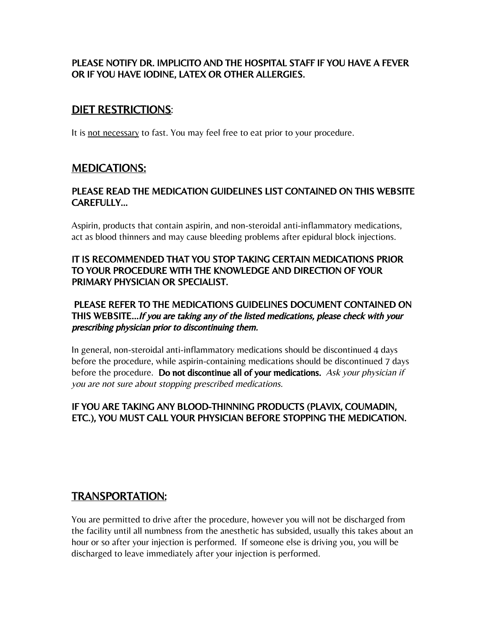#### PLEASE NOTIFY DR. IMPLICITO AND THE HOSPITAL STAFF IF YOU HAVE A FEVER OR IF YOU HAVE IODINE, LATEX OR OTHER ALLERGIES.

### DIET RESTRICTIONS:

It is not necessary to fast. You may feel free to eat prior to your procedure.

### MEDICATIONS:

#### PLEASE READ THE MEDICATION GUIDELINES LIST CONTAINED ON THIS WEBSITE CAREFULLY…

Aspirin, products that contain aspirin, and non-steroidal anti-inflammatory medications, act as blood thinners and may cause bleeding problems after epidural block injections.

#### IT IS RECOMMENDED THAT YOU STOP TAKING CERTAIN MEDICATIONS PRIOR TO YOUR PROCEDURE WITH THE KNOWLEDGE AND DIRECTION OF YOUR PRIMARY PHYSICIAN OR SPECIALIST.

#### PLEASE REFER TO THE MEDICATIONS GUIDELINES DOCUMENT CONTAINED ON THIS WEBSITE…If you are taking any of the listed medications, please check with your prescribing physician prior to discontinuing them.

In general, non-steroidal anti-inflammatory medications should be discontinued 4 days before the procedure, while aspirin-containing medications should be discontinued 7 days before the procedure. Do not discontinue all of your medications. Ask your physician if you are not sure about stopping prescribed medications.

#### IF YOU ARE TAKING ANY BLOOD-THINNING PRODUCTS (PLAVIX, COUMADIN, ETC.), YOU MUST CALL YOUR PHYSICIAN BEFORE STOPPING THE MEDICATION.

# TRANSPORTATION:

You are permitted to drive after the procedure, however you will not be discharged from the facility until all numbness from the anesthetic has subsided, usually this takes about an hour or so after your injection is performed. If someone else is driving you, you will be discharged to leave immediately after your injection is performed.